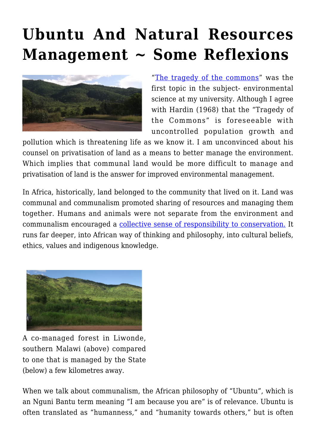## **[Ubuntu And Natural Resources](https://rozenbergquarterly.com/ubuntu-and-natural-resources-management-some-reflexions/) [Management ~ Some Reflexions](https://rozenbergquarterly.com/ubuntu-and-natural-resources-management-some-reflexions/)**



"[The tragedy of the commons](http://www.geo.mtu.edu/~asmayer/rural_sustain/governance/Hardin%201968.pdf)" was the first topic in the subject- environmental science at my university. Although I agree with Hardin (1968) that the "Tragedy of the Commons" is foreseeable with uncontrolled population growth and

pollution which is threatening life as we know it. I am unconvinced about his counsel on privatisation of land as a means to better manage the environment. Which implies that communal land would be more difficult to manage and privatisation of land is the answer for improved environmental management.

In Africa, historically, land belonged to the community that lived on it. Land was communal and communalism promoted sharing of resources and managing them together. Humans and animals were not separate from the environment and communalism encouraged a [collective sense of responsibility to conservation.](http://krepublishers.com/02-Journals/JHE/JHE-53-0-000-16-Web/JHE-53-2-000-16-Abst-PDF/JHE-SV-53-2-157-16-2960-Chibvongodze-D-T/JHE-SV-53-2-157-16-2960-Chibvongodze-D-T-Tx%5b9%5d.pdf) It runs far deeper, into African way of thinking and philosophy, into cultural beliefs, ethics, values and indigenous knowledge.



A co-managed forest in Liwonde, southern Malawi (above) compared to one that is managed by the State (below) a few kilometres away.

When we talk about communalism, the African philosophy of "Ubuntu", which is an Nguni Bantu term meaning "I am because you are" is of relevance. Ubuntu is often translated as "humanness," and "humanity towards others," but is often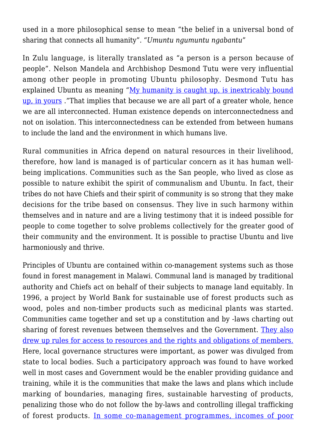used in a more philosophical sense to mean "the belief in a universal bond of sharing that connects all humanity". "*Umuntu ngumuntu ngabantu*"

In Zulu language, is literally translated as "a person is a person because of people". Nelson Mandela and Archbishop Desmond Tutu were very influential among other people in promoting Ubuntu philosophy. Desmond Tutu has explained Ubuntu as meaning "[My humanity is caught up, is inextricably bound](http://www.tutufoundationusa.org/desmond-tutu-peace-foundation/) [up, in yours](http://www.tutufoundationusa.org/desmond-tutu-peace-foundation/) ."That implies that because we are all part of a greater whole, hence we are all interconnected. Human existence depends on interconnectedness and not on isolation. This interconnectedness can be extended from between humans to include the land and the environment in which humans live.

Rural communities in Africa depend on natural resources in their livelihood, therefore, how land is managed is of particular concern as it has human wellbeing implications. Communities such as the San people, who lived as close as possible to nature exhibit the spirit of communalism and Ubuntu. In fact, their tribes do not have Chiefs and their spirit of community is so strong that they make decisions for the tribe based on consensus. They live in such harmony within themselves and in nature and are a living testimony that it is indeed possible for people to come together to solve problems collectively for the greater good of their community and the environment. It is possible to practise Ubuntu and live harmoniously and thrive.

Principles of Ubuntu are contained within co-management systems such as those found in forest management in Malawi. Communal land is managed by traditional authority and Chiefs act on behalf of their subjects to manage land equitably. In 1996, a project by World Bank for sustainable use of forest products such as wood, poles and non-timber products such as medicinal plants was started. Communities came together and set up a constitution and by -laws charting out sharing of forest revenues between themselves and the Government. [They also](http://www.cifor.org/publications/pdf_files/books/policies/policies_southernafrica-1.pdf#page=58) [drew up rules for access to resources and the rights and obligations of members.](http://www.cifor.org/publications/pdf_files/books/policies/policies_southernafrica-1.pdf#page=58) Here, local governance structures were important, as power was divulged from state to local bodies. Such a participatory approach was found to have worked well in most cases and Government would be the enabler providing guidance and training, while it is the communities that make the laws and plans which include marking of boundaries, managing fires, sustainable harvesting of products, penalizing those who do not follow the by-laws and controlling illegal trafficking of forest products. [In some co-management programmes, incomes of poor](http://www.iiasa.ac.at/web/scientificUpdate/2014/meke-gerald.html)